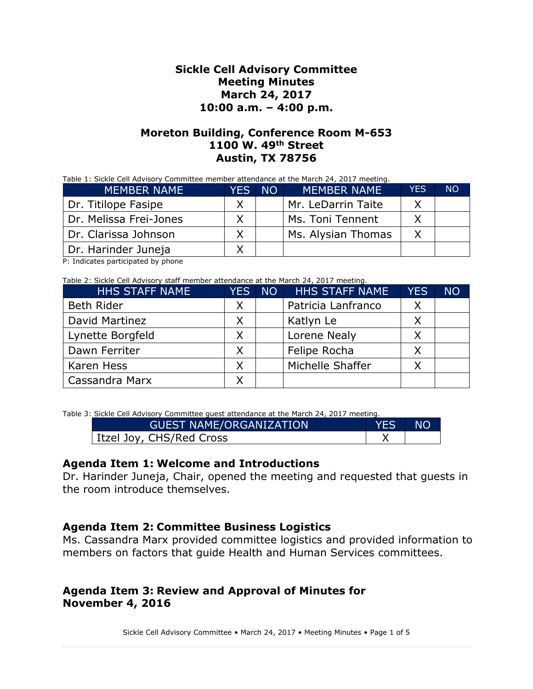#### **Sickle Cell Advisory Committee Meeting Minutes March 24, 2017 10:00 a.m. – 4:00 p.m.**

#### **Moreton Building, Conference Room M-653 1100 W. 49th Street Austin, TX 78756**

|             |        | Table 1: Sickle Cell Advisory Committee member attendance at the March 24, 2017 meeting. |  |
|-------------|--------|------------------------------------------------------------------------------------------|--|
| MEMRER NAME | YFS NO | IMFMRFR NAMF'                                                                            |  |

| <b>MEMBER NAME</b>     | <b>YES</b> | <b>NO</b> | <b>MEMBER NAME</b> | <b>YES</b> | <b>NO</b> |
|------------------------|------------|-----------|--------------------|------------|-----------|
| Dr. Titilope Fasipe    |            |           | Mr. LeDarrin Taite |            |           |
| Dr. Melissa Frei-Jones |            |           | Ms. Toni Tennent   |            |           |
| Dr. Clarissa Johnson   |            |           | Ms. Alysian Thomas |            |           |
| Dr. Harinder Juneja    |            |           |                    |            |           |

P: Indicates participated by phone

Table 2: Sickle Cell Advisory staff member attendance at the March 24, 2017 meeting.

| <b>HHS STAFF NAME</b> | <b>YES</b> | NO | <b>HHS STAFF NAME</b> | <b>YES</b> | <b>NO</b> |
|-----------------------|------------|----|-----------------------|------------|-----------|
| <b>Beth Rider</b>     | X          |    | Patricia Lanfranco    | X          |           |
| David Martinez        | X          |    | Katlyn Le             |            |           |
| Lynette Borgfeld      | Χ          |    | Lorene Nealy          |            |           |
| Dawn Ferriter         |            |    | Felipe Rocha          |            |           |
| Karen Hess            | Χ          |    | Michelle Shaffer      |            |           |
| Cassandra Marx        |            |    |                       |            |           |

Table 3: Sickle Cell Advisory Committee guest attendance at the March 24, 2017 meeting.

| <b>GUEST NAME/ORGANIZATION</b> | YES NO |  |
|--------------------------------|--------|--|
| I Itzel Joy, CHS/Red Cross     |        |  |

#### **Agenda Item 1: Welcome and Introductions**

Dr. Harinder Juneja, Chair, opened the meeting and requested that guests in the room introduce themselves.

#### **Agenda Item 2: Committee Business Logistics**

Ms. Cassandra Marx provided committee logistics and provided information to members on factors that guide Health and Human Services committees.

#### **Agenda Item 3: Review and Approval of Minutes for November 4, 2016**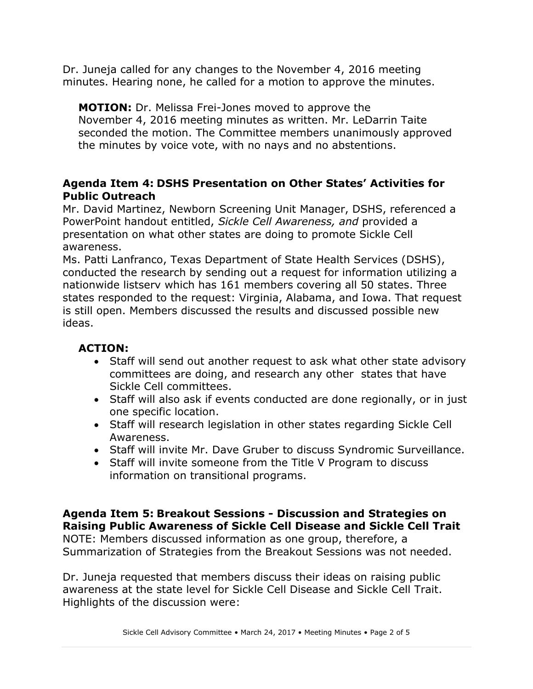Dr. Juneja called for any changes to the November 4, 2016 meeting minutes. Hearing none, he called for a motion to approve the minutes.

**MOTION:** Dr. Melissa Frei-Jones moved to approve the November 4, 2016 meeting minutes as written. Mr. LeDarrin Taite seconded the motion. The Committee members unanimously approved the minutes by voice vote, with no nays and no abstentions.

### **Agenda Item 4: DSHS Presentation on Other States' Activities for Public Outreach**

Mr. David Martinez, Newborn Screening Unit Manager, DSHS, referenced a PowerPoint handout entitled, *Sickle Cell Awareness, and* provided a presentation on what other states are doing to promote Sickle Cell awareness.

Ms. Patti Lanfranco, Texas Department of State Health Services (DSHS), conducted the research by sending out a request for information utilizing a nationwide listserv which has 161 members covering all 50 states. Three states responded to the request: Virginia, Alabama, and Iowa. That request is still open. Members discussed the results and discussed possible new ideas.

## **ACTION:**

- Staff will send out another request to ask what other state advisory committees are doing, and research any other states that have Sickle Cell committees.
- Staff will also ask if events conducted are done regionally, or in just one specific location.
- Staff will research legislation in other states regarding Sickle Cell Awareness.
- Staff will invite Mr. Dave Gruber to discuss Syndromic Surveillance.
- Staff will invite someone from the Title V Program to discuss information on transitional programs.

**Agenda Item 5: Breakout Sessions - Discussion and Strategies on Raising Public Awareness of Sickle Cell Disease and Sickle Cell Trait**  NOTE: Members discussed information as one group, therefore, a Summarization of Strategies from the Breakout Sessions was not needed.

Dr. Juneja requested that members discuss their ideas on raising public awareness at the state level for Sickle Cell Disease and Sickle Cell Trait. Highlights of the discussion were: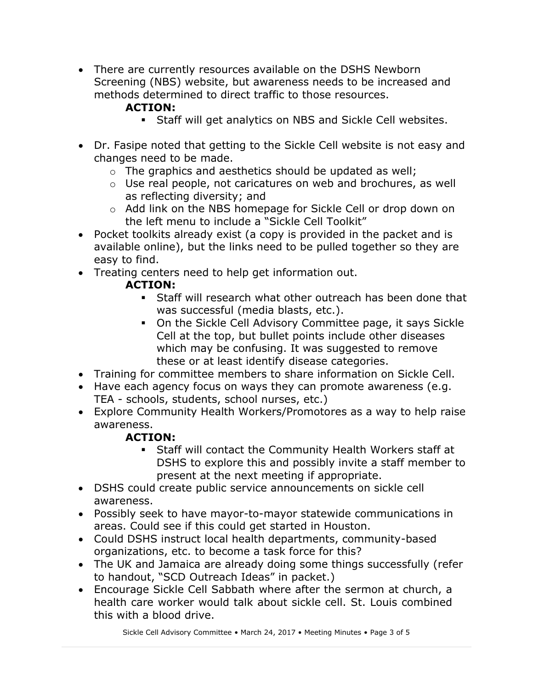There are currently resources available on the DSHS Newborn Screening (NBS) website, but awareness needs to be increased and methods determined to direct traffic to those resources.

# **ACTION:**

- Staff will get analytics on NBS and Sickle Cell websites.
- Dr. Fasipe noted that getting to the Sickle Cell website is not easy and changes need to be made.
	- o The graphics and aesthetics should be updated as well;
	- o Use real people, not caricatures on web and brochures, as well as reflecting diversity; and
	- o Add link on the NBS homepage for Sickle Cell or drop down on the left menu to include a "Sickle Cell Toolkit"
- Pocket toolkits already exist (a copy is provided in the packet and is available online), but the links need to be pulled together so they are easy to find.
- Treating centers need to help get information out.

# **ACTION:**

- **Staff will research what other outreach has been done that** was successful (media blasts, etc.).
- On the Sickle Cell Advisory Committee page, it says Sickle Cell at the top, but bullet points include other diseases which may be confusing. It was suggested to remove these or at least identify disease categories.
- Training for committee members to share information on Sickle Cell.
- Have each agency focus on ways they can promote awareness (e.g. TEA - schools, students, school nurses, etc.)
- Explore Community Health Workers/Promotores as a way to help raise awareness.

# **ACTION:**

- Staff will contact the Community Health Workers staff at DSHS to explore this and possibly invite a staff member to present at the next meeting if appropriate.
- DSHS could create public service announcements on sickle cell awareness.
- Possibly seek to have mayor-to-mayor statewide communications in areas. Could see if this could get started in Houston.
- Could DSHS instruct local health departments, community-based organizations, etc. to become a task force for this?
- The UK and Jamaica are already doing some things successfully (refer to handout, "SCD Outreach Ideas" in packet.)
- Encourage Sickle Cell Sabbath where after the sermon at church, a health care worker would talk about sickle cell. St. Louis combined this with a blood drive.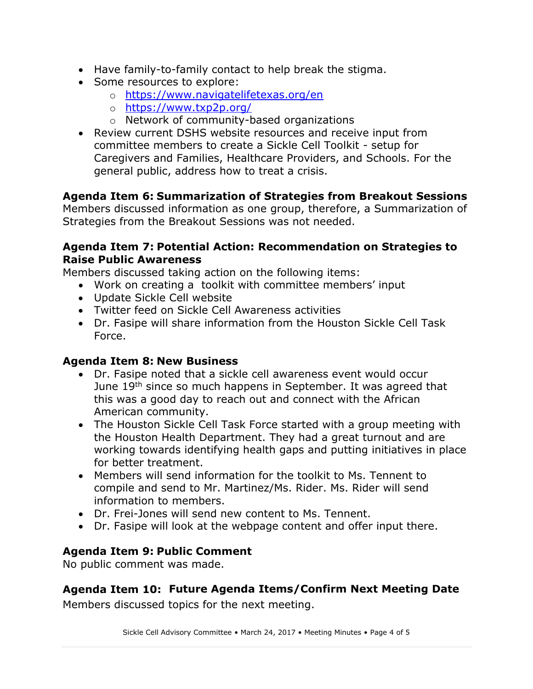- Have family-to-family contact to help break the stigma.
- Some resources to explore:
	- o <https://www.navigatelifetexas.org/en>
	- o <https://www.txp2p.org/>
	- o Network of community-based organizations
- Review current DSHS website resources and receive input from committee members to create a Sickle Cell Toolkit - setup for Caregivers and Families, Healthcare Providers, and Schools. For the general public, address how to treat a crisis.

## **Agenda Item 6: Summarization of Strategies from Breakout Sessions**

Members discussed information as one group, therefore, a Summarization of Strategies from the Breakout Sessions was not needed.

#### **Agenda Item 7: Potential Action: Recommendation on Strategies to Raise Public Awareness**

Members discussed taking action on the following items:

- Work on creating a toolkit with committee members' input
- Update Sickle Cell website
- Twitter feed on Sickle Cell Awareness activities
- Dr. Fasipe will share information from the Houston Sickle Cell Task Force.

### **Agenda Item 8: New Business**

- Dr. Fasipe noted that a sickle cell awareness event would occur June 19<sup>th</sup> since so much happens in September. It was agreed that this was a good day to reach out and connect with the African American community.
- The Houston Sickle Cell Task Force started with a group meeting with the Houston Health Department. They had a great turnout and are working towards identifying health gaps and putting initiatives in place for better treatment.
- Members will send information for the toolkit to Ms. Tennent to compile and send to Mr. Martinez/Ms. Rider. Ms. Rider will send information to members.
- Dr. Frei-Jones will send new content to Ms. Tennent.
- Dr. Fasipe will look at the webpage content and offer input there.

## **Agenda Item 9: Public Comment**

No public comment was made.

## **Agenda Item 10: Future Agenda Items/Confirm Next Meeting Date**

Members discussed topics for the next meeting.